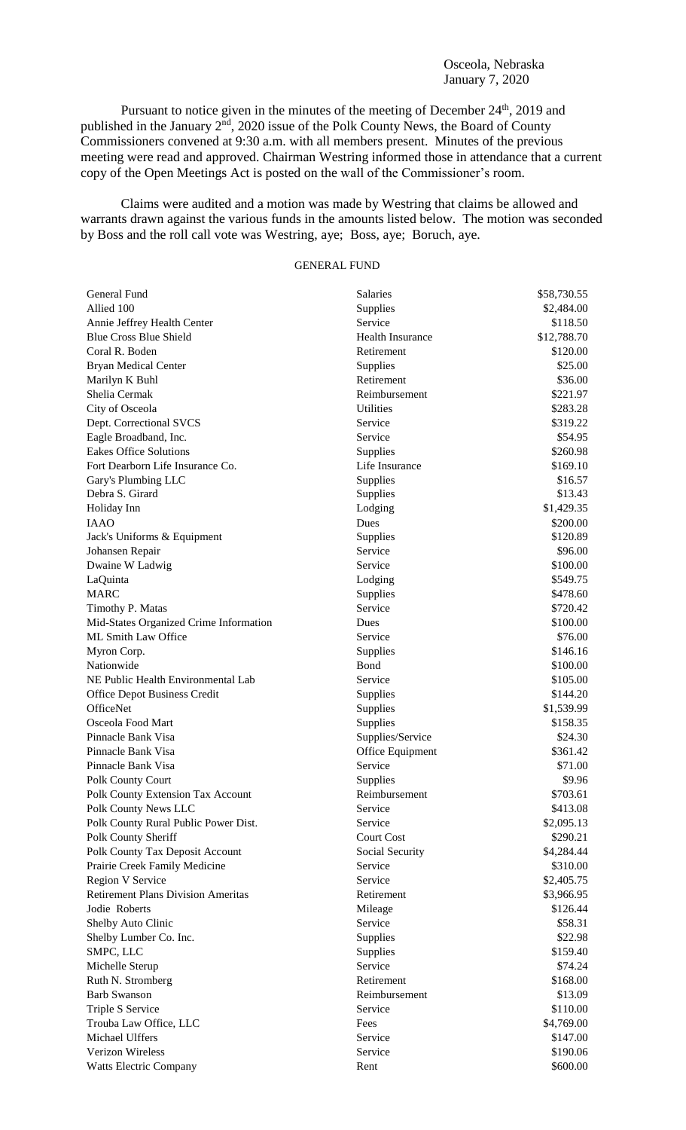Osceola, Nebraska January 7, 2020

Pursuant to notice given in the minutes of the meeting of December 24<sup>th</sup>, 2019 and published in the January 2<sup>nd</sup>, 2020 issue of the Polk County News, the Board of County Commissioners convened at 9:30 a.m. with all members present. Minutes of the previous meeting were read and approved. Chairman Westring informed those in attendance that a current copy of the Open Meetings Act is posted on the wall of the Commissioner's room.

Claims were audited and a motion was made by Westring that claims be allowed and warrants drawn against the various funds in the amounts listed below. The motion was seconded by Boss and the roll call vote was Westring, aye; Boss, aye; Boruch, aye.

## GENERAL FUND

| General Fund                              | Salaries          | \$58,730.55 |
|-------------------------------------------|-------------------|-------------|
| Allied 100                                | Supplies          | \$2,484.00  |
| Annie Jeffrey Health Center               | Service           | \$118.50    |
| <b>Blue Cross Blue Shield</b>             | Health Insurance  | \$12,788.70 |
| Coral R. Boden                            | Retirement        | \$120.00    |
| <b>Bryan Medical Center</b>               | Supplies          | \$25.00     |
| Marilyn K Buhl                            | Retirement        | \$36.00     |
| Shelia Cermak                             | Reimbursement     | \$221.97    |
| City of Osceola                           | Utilities         | \$283.28    |
| Dept. Correctional SVCS                   | Service           | \$319.22    |
| Eagle Broadband, Inc.                     | Service           | \$54.95     |
| <b>Eakes Office Solutions</b>             | Supplies          | \$260.98    |
| Fort Dearborn Life Insurance Co.          | Life Insurance    | \$169.10    |
| Gary's Plumbing LLC                       | Supplies          | \$16.57     |
| Debra S. Girard                           | Supplies          | \$13.43     |
| Holiday Inn                               | Lodging           | \$1,429.35  |
| <b>IAAO</b>                               | Dues              | \$200.00    |
| Jack's Uniforms & Equipment               | Supplies          | \$120.89    |
| Johansen Repair                           | Service           | \$96.00     |
| Dwaine W Ladwig                           | Service           | \$100.00    |
| LaQuinta                                  | Lodging           | \$549.75    |
| <b>MARC</b>                               | Supplies          | \$478.60    |
| Timothy P. Matas                          | Service           | \$720.42    |
| Mid-States Organized Crime Information    | Dues              | \$100.00    |
| ML Smith Law Office                       | Service           | \$76.00     |
| Myron Corp.                               | Supplies          | \$146.16    |
| Nationwide                                | Bond              | \$100.00    |
| NE Public Health Environmental Lab        | Service           | \$105.00    |
| Office Depot Business Credit              | Supplies          | \$144.20    |
| OfficeNet                                 | Supplies          | \$1,539.99  |
| Osceola Food Mart                         | Supplies          | \$158.35    |
| Pinnacle Bank Visa                        | Supplies/Service  | \$24.30     |
| Pinnacle Bank Visa                        | Office Equipment  | \$361.42    |
| Pinnacle Bank Visa                        | Service           | \$71.00     |
| Polk County Court                         | Supplies          | \$9.96      |
| <b>Polk County Extension Tax Account</b>  | Reimbursement     | \$703.61    |
| Polk County News LLC                      | Service           | \$413.08    |
| Polk County Rural Public Power Dist.      | Service           | \$2,095.13  |
| Polk County Sheriff                       | <b>Court Cost</b> | \$290.21    |
| Polk County Tax Deposit Account           | Social Security   | \$4,284.44  |
| Prairie Creek Family Medicine             | Service           | \$310.00    |
| <b>Region V Service</b>                   | Service           | \$2,405.75  |
| <b>Retirement Plans Division Ameritas</b> | Retirement        | \$3,966.95  |
| Jodie Roberts                             | Mileage           | \$126.44    |
| Shelby Auto Clinic                        | Service           | \$58.31     |
| Shelby Lumber Co. Inc.                    | Supplies          | \$22.98     |
| SMPC, LLC                                 | Supplies          | \$159.40    |
| Michelle Sterup                           | Service           | \$74.24     |
| Ruth N. Stromberg                         | Retirement        | \$168.00    |
| <b>Barb Swanson</b>                       | Reimbursement     | \$13.09     |
| Triple S Service                          | Service           | \$110.00    |
| Trouba Law Office, LLC                    | Fees              | \$4,769.00  |
| Michael Ulffers                           | Service           | \$147.00    |
| Verizon Wireless                          | Service           | \$190.06    |
| <b>Watts Electric Company</b>             | Rent              | \$600.00    |
|                                           |                   |             |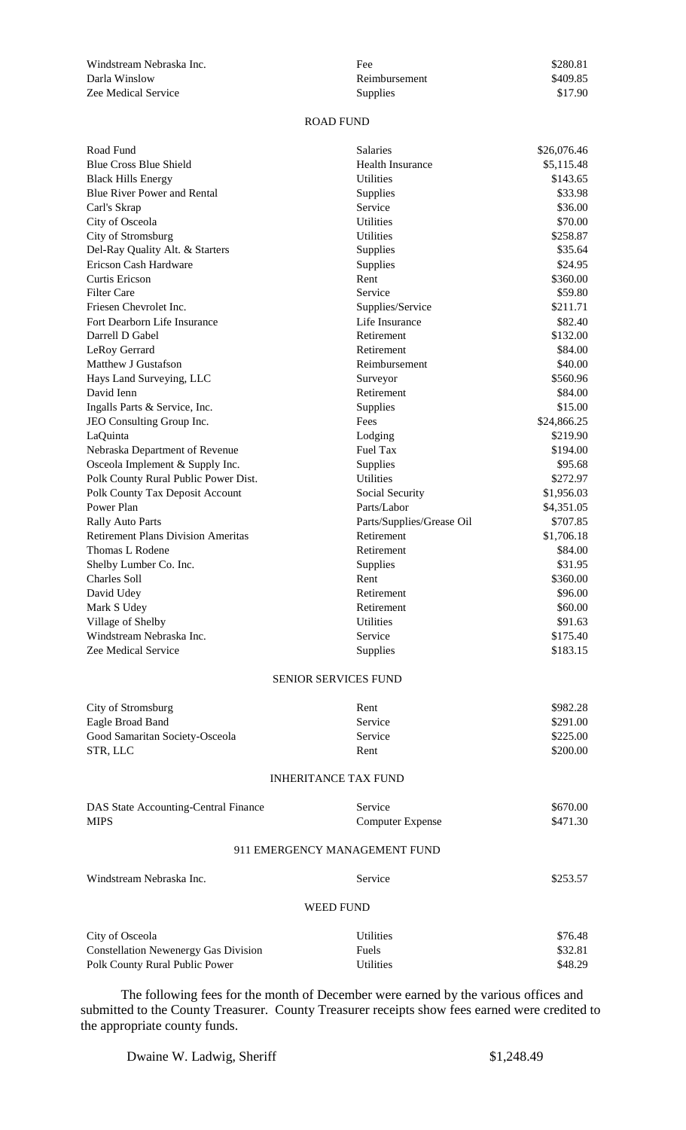Windstream Nebraska Inc. Darla Winslow Zee Medical Service

| Fee:            | \$280.81 |
|-----------------|----------|
| Reimbursement   | \$409.85 |
| <b>Supplies</b> | \$17.90  |

## ROAD FUND

| Road Fund                                   | Salaries                      | \$26,076.46 |
|---------------------------------------------|-------------------------------|-------------|
| <b>Blue Cross Blue Shield</b>               | <b>Health Insurance</b>       | \$5,115.48  |
| <b>Black Hills Energy</b>                   | <b>Utilities</b>              | \$143.65    |
| <b>Blue River Power and Rental</b>          | Supplies                      | \$33.98     |
| Carl's Skrap                                | Service                       | \$36.00     |
| City of Osceola                             | <b>Utilities</b>              | \$70.00     |
| City of Stromsburg                          | <b>Utilities</b>              | \$258.87    |
| Del-Ray Quality Alt. & Starters             | Supplies                      | \$35.64     |
| Ericson Cash Hardware                       | Supplies                      | \$24.95     |
| Curtis Ericson                              | Rent                          | \$360.00    |
| <b>Filter Care</b>                          | Service                       | \$59.80     |
| Friesen Chevrolet Inc.                      | Supplies/Service              | \$211.71    |
| Fort Dearborn Life Insurance                | Life Insurance                | \$82.40     |
| Darrell D Gabel                             | Retirement                    | \$132.00    |
| LeRoy Gerrard                               | Retirement                    | \$84.00     |
| Matthew J Gustafson                         | Reimbursement                 | \$40.00     |
| Hays Land Surveying, LLC                    | Surveyor                      | \$560.96    |
| David Ienn                                  | Retirement                    | \$84.00     |
| Ingalls Parts & Service, Inc.               | Supplies                      | \$15.00     |
| JEO Consulting Group Inc.                   | Fees                          | \$24,866.25 |
| LaQuinta                                    | Lodging                       | \$219.90    |
| Nebraska Department of Revenue              | Fuel Tax                      | \$194.00    |
| Osceola Implement & Supply Inc.             | Supplies                      | \$95.68     |
| Polk County Rural Public Power Dist.        | <b>Utilities</b>              | \$272.97    |
| Polk County Tax Deposit Account             | Social Security               | \$1,956.03  |
| Power Plan                                  | Parts/Labor                   | \$4,351.05  |
| <b>Rally Auto Parts</b>                     | Parts/Supplies/Grease Oil     | \$707.85    |
| <b>Retirement Plans Division Ameritas</b>   | Retirement                    | \$1,706.18  |
| Thomas L Rodene                             | Retirement                    | \$84.00     |
| Shelby Lumber Co. Inc.                      | Supplies                      | \$31.95     |
| Charles Soll                                | Rent                          | \$360.00    |
| David Udey                                  | Retirement                    | \$96.00     |
| Mark S Udey                                 | Retirement                    | \$60.00     |
| Village of Shelby                           | <b>Utilities</b>              | \$91.63     |
| Windstream Nebraska Inc.                    | Service                       | \$175.40    |
| Zee Medical Service                         | Supplies                      | \$183.15    |
|                                             | <b>SENIOR SERVICES FUND</b>   |             |
| City of Stromsburg                          | Rent                          | \$982.28    |
| Eagle Broad Band                            | Service                       | \$291.00    |
| Good Samaritan Society-Osceola              | Service                       | \$225.00    |
| STR, LLC                                    | Rent                          | \$200.00    |
|                                             | <b>INHERITANCE TAX FUND</b>   |             |
| DAS State Accounting-Central Finance        | Service                       | \$670.00    |
| <b>MIPS</b>                                 | <b>Computer Expense</b>       | \$471.30    |
|                                             | 911 EMERGENCY MANAGEMENT FUND |             |
| Windstream Nebraska Inc.                    | Service                       | \$253.57    |
|                                             | <b>WEED FUND</b>              |             |
| City of Osceola                             | Utilities                     | \$76.48     |
| <b>Constellation Newenergy Gas Division</b> | Fuels                         | \$32.81     |
| Polk County Rural Public Power              | Utilities                     | \$48.29     |
|                                             |                               |             |

The following fees for the month of December were earned by the various offices and submitted to the County Treasurer. County Treasurer receipts show fees earned were credited to the appropriate county funds.

Dwaine W. Ladwig, Sheriff  $$1,248.49$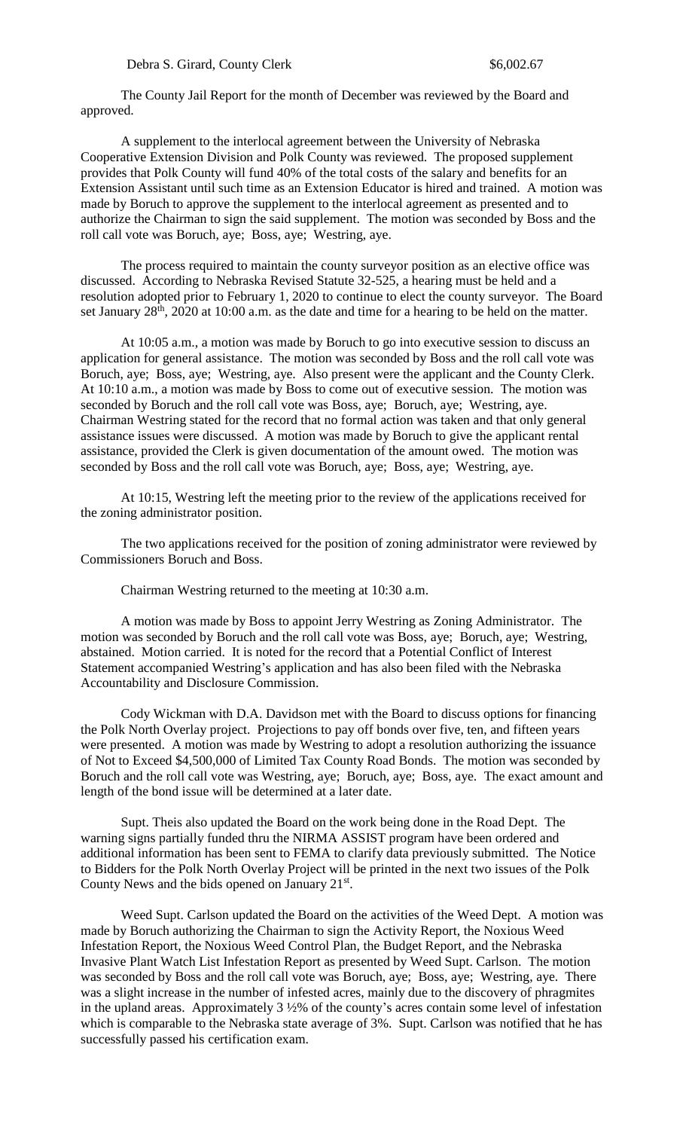The County Jail Report for the month of December was reviewed by the Board and approved.

A supplement to the interlocal agreement between the University of Nebraska Cooperative Extension Division and Polk County was reviewed. The proposed supplement provides that Polk County will fund 40% of the total costs of the salary and benefits for an Extension Assistant until such time as an Extension Educator is hired and trained. A motion was made by Boruch to approve the supplement to the interlocal agreement as presented and to authorize the Chairman to sign the said supplement. The motion was seconded by Boss and the roll call vote was Boruch, aye; Boss, aye; Westring, aye.

The process required to maintain the county surveyor position as an elective office was discussed. According to Nebraska Revised Statute 32-525, a hearing must be held and a resolution adopted prior to February 1, 2020 to continue to elect the county surveyor. The Board set January  $28<sup>th</sup>$ ,  $2020$  at 10:00 a.m. as the date and time for a hearing to be held on the matter.

At 10:05 a.m., a motion was made by Boruch to go into executive session to discuss an application for general assistance. The motion was seconded by Boss and the roll call vote was Boruch, aye; Boss, aye; Westring, aye. Also present were the applicant and the County Clerk. At 10:10 a.m., a motion was made by Boss to come out of executive session. The motion was seconded by Boruch and the roll call vote was Boss, aye; Boruch, aye; Westring, aye. Chairman Westring stated for the record that no formal action was taken and that only general assistance issues were discussed. A motion was made by Boruch to give the applicant rental assistance, provided the Clerk is given documentation of the amount owed. The motion was seconded by Boss and the roll call vote was Boruch, aye; Boss, aye; Westring, aye.

At 10:15, Westring left the meeting prior to the review of the applications received for the zoning administrator position.

The two applications received for the position of zoning administrator were reviewed by Commissioners Boruch and Boss.

Chairman Westring returned to the meeting at 10:30 a.m.

A motion was made by Boss to appoint Jerry Westring as Zoning Administrator. The motion was seconded by Boruch and the roll call vote was Boss, aye; Boruch, aye; Westring, abstained. Motion carried. It is noted for the record that a Potential Conflict of Interest Statement accompanied Westring's application and has also been filed with the Nebraska Accountability and Disclosure Commission.

Cody Wickman with D.A. Davidson met with the Board to discuss options for financing the Polk North Overlay project. Projections to pay off bonds over five, ten, and fifteen years were presented. A motion was made by Westring to adopt a resolution authorizing the issuance of Not to Exceed \$4,500,000 of Limited Tax County Road Bonds. The motion was seconded by Boruch and the roll call vote was Westring, aye; Boruch, aye; Boss, aye. The exact amount and length of the bond issue will be determined at a later date.

Supt. Theis also updated the Board on the work being done in the Road Dept. The warning signs partially funded thru the NIRMA ASSIST program have been ordered and additional information has been sent to FEMA to clarify data previously submitted. The Notice to Bidders for the Polk North Overlay Project will be printed in the next two issues of the Polk County News and the bids opened on January 21<sup>st</sup>.

Weed Supt. Carlson updated the Board on the activities of the Weed Dept. A motion was made by Boruch authorizing the Chairman to sign the Activity Report, the Noxious Weed Infestation Report, the Noxious Weed Control Plan, the Budget Report, and the Nebraska Invasive Plant Watch List Infestation Report as presented by Weed Supt. Carlson. The motion was seconded by Boss and the roll call vote was Boruch, aye; Boss, aye; Westring, aye. There was a slight increase in the number of infested acres, mainly due to the discovery of phragmites in the upland areas. Approximately 3 ½% of the county's acres contain some level of infestation which is comparable to the Nebraska state average of 3%. Supt. Carlson was notified that he has successfully passed his certification exam.